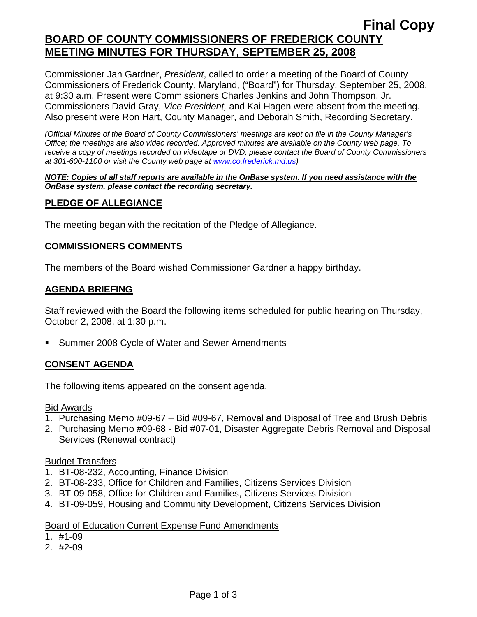# **Final Copy BOARD OF COUNTY COMMISSIONERS OF FREDERICK COUNTY MEETING MINUTES FOR THURSDAY, SEPTEMBER 25, 2008**

Commissioner Jan Gardner, *President*, called to order a meeting of the Board of County Commissioners of Frederick County, Maryland, ("Board") for Thursday, September 25, 2008, at 9:30 a.m. Present were Commissioners Charles Jenkins and John Thompson, Jr. Commissioners David Gray, *Vice President,* and Kai Hagen were absent from the meeting. Also present were Ron Hart, County Manager, and Deborah Smith, Recording Secretary.

*(Official Minutes of the Board of County Commissioners' meetings are kept on file in the County Manager's Office; the meetings are also video recorded. Approved minutes are available on the County web page. To receive a copy of meetings recorded on videotape or DVD, please contact the Board of County Commissioners at 301-600-1100 or visit the County web page at [www.co.frederick.md.us\)](http://www.co.frederick.md.us/)* 

#### *NOTE: Copies of all staff reports are available in the OnBase system. If you need assistance with the OnBase system, please contact the recording secretary.*

## **PLEDGE OF ALLEGIANCE**

The meeting began with the recitation of the Pledge of Allegiance.

### **COMMISSIONERS COMMENTS**

The members of the Board wished Commissioner Gardner a happy birthday.

#### **AGENDA BRIEFING**

Staff reviewed with the Board the following items scheduled for public hearing on Thursday, October 2, 2008, at 1:30 p.m.

**Summer 2008 Cycle of Water and Sewer Amendments** 

### **CONSENT AGENDA**

The following items appeared on the consent agenda.

#### Bid Awards

- 1. Purchasing Memo #09-67 Bid #09-67, Removal and Disposal of Tree and Brush Debris
- 2. Purchasing Memo #09-68 Bid #07-01, Disaster Aggregate Debris Removal and Disposal Services (Renewal contract)

#### Budget Transfers

- 1. BT-08-232, Accounting, Finance Division
- 2. BT-08-233, Office for Children and Families, Citizens Services Division
- 3. BT-09-058, Office for Children and Families, Citizens Services Division
- 4. BT-09-059, Housing and Community Development, Citizens Services Division

#### **Board of Education Current Expense Fund Amendments**

- 1. #1-09
- 2. #2-09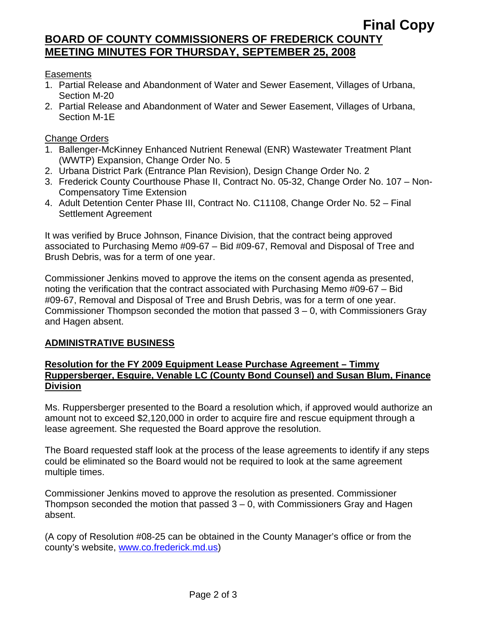# **Final Copy BOARD OF COUNTY COMMISSIONERS OF FREDERICK COUNTY MEETING MINUTES FOR THURSDAY, SEPTEMBER 25, 2008**

## Easements

- 1. Partial Release and Abandonment of Water and Sewer Easement, Villages of Urbana, Section M-20
- 2. Partial Release and Abandonment of Water and Sewer Easement, Villages of Urbana, Section M-1E

## Change Orders

- 1. Ballenger-McKinney Enhanced Nutrient Renewal (ENR) Wastewater Treatment Plant (WWTP) Expansion, Change Order No. 5
- 2. Urbana District Park (Entrance Plan Revision), Design Change Order No. 2
- 3. Frederick County Courthouse Phase II, Contract No. 05-32, Change Order No. 107 Non-Compensatory Time Extension
- 4. Adult Detention Center Phase III, Contract No. C11108, Change Order No. 52 Final Settlement Agreement

It was verified by Bruce Johnson, Finance Division, that the contract being approved associated to Purchasing Memo #09-67 – Bid #09-67, Removal and Disposal of Tree and Brush Debris, was for a term of one year.

Commissioner Jenkins moved to approve the items on the consent agenda as presented, noting the verification that the contract associated with Purchasing Memo #09-67 – Bid #09-67, Removal and Disposal of Tree and Brush Debris, was for a term of one year. Commissioner Thompson seconded the motion that passed 3 – 0, with Commissioners Gray and Hagen absent.

### **ADMINISTRATIVE BUSINESS**

### **Resolution for the FY 2009 Equipment Lease Purchase Agreement – Timmy Ruppersberger, Esquire, Venable LC (County Bond Counsel) and Susan Blum, Finance Division**

Ms. Ruppersberger presented to the Board a resolution which, if approved would authorize an amount not to exceed \$2,120,000 in order to acquire fire and rescue equipment through a lease agreement. She requested the Board approve the resolution.

The Board requested staff look at the process of the lease agreements to identify if any steps could be eliminated so the Board would not be required to look at the same agreement multiple times.

Commissioner Jenkins moved to approve the resolution as presented. Commissioner Thompson seconded the motion that passed 3 – 0, with Commissioners Gray and Hagen absent.

(A copy of Resolution #08-25 can be obtained in the County Manager's office or from the county's website, www.co.frederick.md.us)